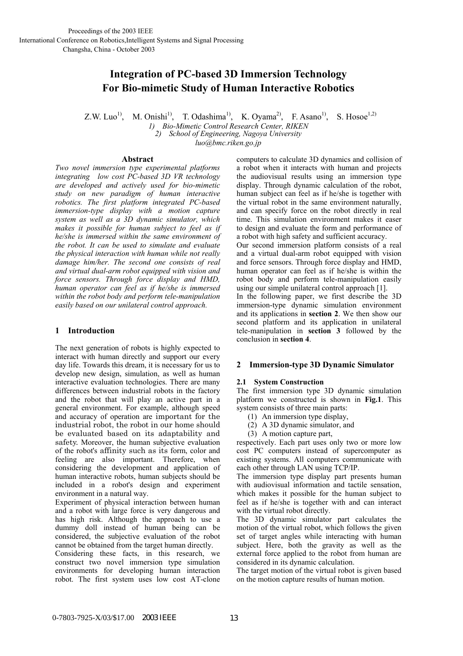# **Integration of PC-based 3D Immersion Technology For Bio-mimetic Study of Human Interactive Robotics**

Z.W. Luo<sup>1)</sup>, M. Onishi<sup>1)</sup>, T. Odashima<sup>1)</sup>, K. Oyama<sup>2)</sup>, F. Asano<sup>1)</sup>, S. Hosoe<sup>1,2)</sup>

*1) Bio-Mimetic Control Research Center, RIKEN 2) School of Engineering, Nagoya University* 

*luo@bmc.riken.go.jp* 

## **Abstract**

*Two novel immersion type experimental platforms integrating low cost PC-based 3D VR technology are developed and actively used for bio-mimetic study on new paradigm of human interactive robotics. The first platform integrated PC-based immersion-type display with a motion capture system as well as a 3D dynamic simulator, which makes it possible for human subject to feel as if he/she is immersed within the same environment of the robot. It can be used to simulate and evaluate the physical interaction with human while not really damage him/her. The second one consists of real and virtual dual-arm robot equipped with vision and force sensors. Through force display and HMD, human operator can feel as if he/she is immersed within the robot body and perform tele-manipulation easily based on our unilateral control approach.* 

# **1 Introduction**

The next generation of robots is highly expected to interact with human directly and support our every day life. Towards this dream, it is necessary for us to develop new design, simulation, as well as human interactive evaluation technologies. There are many differences between industrial robots in the factory and the robot that will play an active part in a general environment. For example, although speed and accuracy of operation are important for the industrial robot, the robot in our home should be evaluated based on its adaptability and safety. Moreover, the human subjective evaluation of the robot's affinity such as its form, color and feeling are also important. Therefore, when considering the development and application of human interactive robots, human subjects should be included in a robot's design and experiment environment in a natural way.

Experiment of physical interaction between human and a robot with large force is very dangerous and has high risk. Although the approach to use a dummy doll instead of human being can be considered, the subjective evaluation of the robot cannot be obtained from the target human directly.

Considering these facts, in this research, we construct two novel immersion type simulation environments for developing human interaction robot. The first system uses low cost AT-clone computers to calculate 3D dynamics and collision of a robot when it interacts with human and projects the audiovisual results using an immersion type display. Through dynamic calculation of the robot, human subject can feel as if he/she is together with the virtual robot in the same environment naturally, and can specify force on the robot directly in real time. This simulation environment makes it easer to design and evaluate the form and performance of a robot with high safety and sufficient accuracy. Our second immersion platform consists of a real and a virtual dual-arm robot equipped with vision and force sensors. Through force display and HMD, human operator can feel as if he/she is within the robot body and perform tele-manipulation easily using our simple unilateral control approach [1]. In the following paper, we first describe the 3D

immersion-type dynamic simulation environment and its applications in **section 2**. We then show our second platform and its application in unilateral tele-manipulation in **section 3** followed by the conclusion in **section 4**.

# **2 Immersion-type 3D Dynamic Simulator**

## **2.1 System Construction**

The first immersion type 3D dynamic simulation platform we constructed is shown in **Fig.1**. This system consists of three main parts:

- (1) An immersion type display,
- (2) A 3D dynamic simulator, and
- (3) A motion capture part,

respectively. Each part uses only two or more low cost PC computers instead of supercomputer as existing systems. All computers communicate with each other through LAN using TCP/IP.

The immersion type display part presents human with audiovisual information and tactile sensation, which makes it possible for the human subject to feel as if he/she is together with and can interact with the virtual robot directly.

The 3D dynamic simulator part calculates the motion of the virtual robot, which follows the given set of target angles while interacting with human subject. Here, both the gravity as well as the external force applied to the robot from human are considered in its dynamic calculation.

The target motion of the virtual robot is given based on the motion capture results of human motion.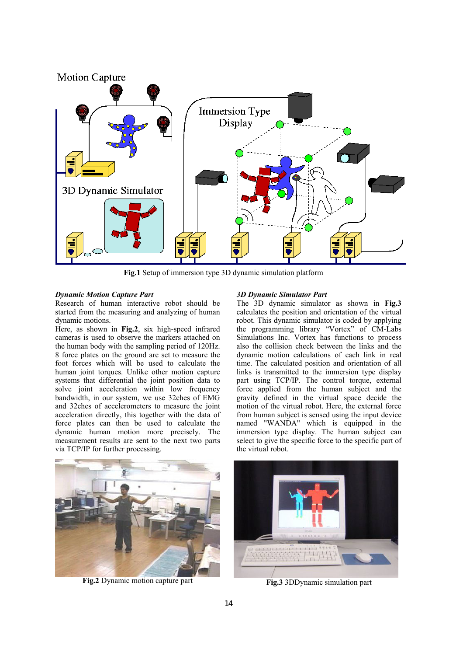

**Fig.1** Setup of immersion type 3D dynamic simulation platform

## *Dynamic Motion Capture Part*

Research of human interactive robot should be started from the measuring and analyzing of human dynamic motions.

Here, as shown in **Fig.2**, six high-speed infrared cameras is used to observe the markers attached on the human body with the sampling period of 120Hz. 8 force plates on the ground are set to measure the foot forces which will be used to calculate the human joint torques. Unlike other motion capture systems that differential the joint position data to solve joint acceleration within low frequency bandwidth, in our system, we use 32ches of EMG and 32ches of accelerometers to measure the joint acceleration directly, this together with the data of force plates can then be used to calculate the dynamic human motion more precisely. The measurement results are sent to the next two parts via TCP/IP for further processing.

## *3D Dynamic Simulator Part*

The 3D dynamic simulator as shown in **Fig.3** calculates the position and orientation of the virtual robot. This dynamic simulator is coded by applying the programming library "Vortex" of CM-Labs Simulations Inc. Vortex has functions to process also the collision check between the links and the dynamic motion calculations of each link in real time. The calculated position and orientation of all links is transmitted to the immersion type display part using TCP/IP. The control torque, external force applied from the human subject and the gravity defined in the virtual space decide the motion of the virtual robot. Here, the external force from human subject is sensed using the input device named "WANDA" which is equipped in the immersion type display. The human subject can select to give the specific force to the specific part of the virtual robot.



**Fig.2** Dynamic motion capture part



**Fig.3** 3DDynamic simulation part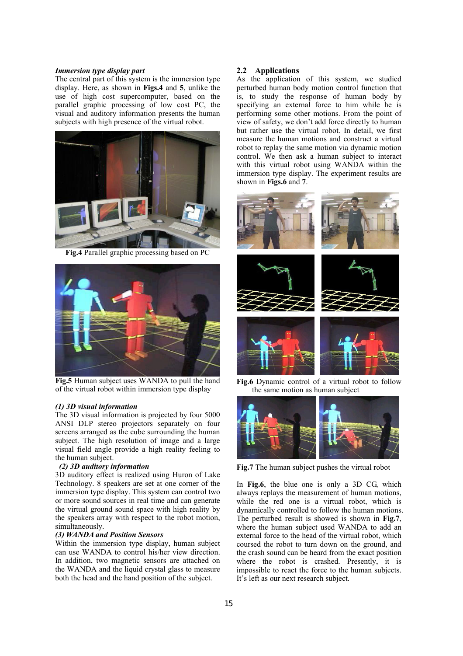#### *Immersion type display part*

The central part of this system is the immersion type display. Here, as shown in **Figs.4** and **5**, unlike the use of high cost supercomputer, based on the parallel graphic processing of low cost PC, the visual and auditory information presents the human subjects with high presence of the virtual robot.



**Fig.4** Parallel graphic processing based on PC



**Fig.5** Human subject uses WANDA to pull the hand of the virtual robot within immersion type display

#### *(1) 3D visual information*

The 3D visual information is projected by four 5000 ANSI DLP stereo projectors separately on four screens arranged as the cube surrounding the human subject. The high resolution of image and a large visual field angle provide a high reality feeling to the human subject.

## *(2) 3D auditory information*

3D auditory effect is realized using Huron of Lake Technology. 8 speakers are set at one corner of the immersion type display. This system can control two or more sound sources in real time and can generate the virtual ground sound space with high reality by the speakers array with respect to the robot motion, simultaneously.

#### *(3) WANDA and Position Sensors*

Within the immersion type display, human subject can use WANDA to control his/her view direction. In addition, two magnetic sensors are attached on the WANDA and the liquid crystal glass to measure both the head and the hand position of the subject.

#### **2.2 Applications**

As the application of this system, we studied perturbed human body motion control function that is, to study the response of human body by specifying an external force to him while he is performing some other motions. From the point of view of safety, we don't add force directly to human but rather use the virtual robot. In detail, we first measure the human motions and construct a virtual robot to replay the same motion via dynamic motion control. We then ask a human subject to interact with this virtual robot using WANDA within the immersion type display. The experiment results are shown in **Figs.6** and **7**.



**Fig.6** Dynamic control of a virtual robot to follow the same motion as human subject



**Fig.7** The human subject pushes the virtual robot

In **Fig.6**, the blue one is only a 3D CG, which always replays the measurement of human motions, while the red one is a virtual robot, which is dynamically controlled to follow the human motions. The perturbed result is showed is shown in **Fig.7**, where the human subject used WANDA to add an external force to the head of the virtual robot, which coursed the robot to turn down on the ground, and the crash sound can be heard from the exact position where the robot is crashed. Presently, it is impossible to react the force to the human subjects. It's left as our next research subject.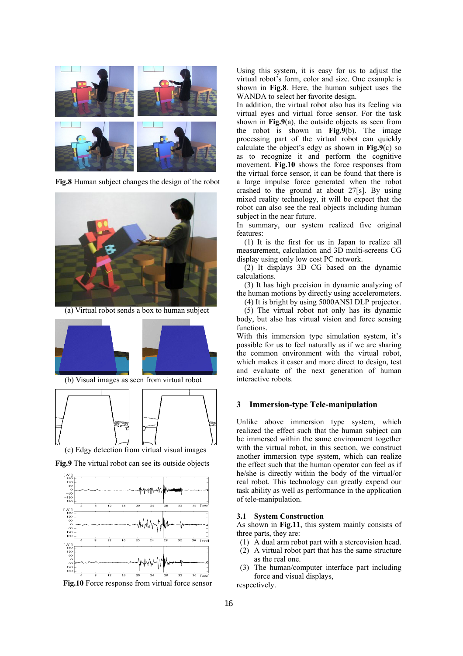

**Fig.8** Human subject changes the design of the robot



(a) Virtual robot sends a box to human subject



(b) Visual images as seen from virtual robot



**Fig.9** The virtual robot can see its outside objects



**Fig.10** Force response from virtual force sensor

Using this system, it is easy for us to adjust the virtual robot's form, color and size. One example is shown in **Fig.8**. Here, the human subject uses the WANDA to select her favorite design.

In addition, the virtual robot also has its feeling via virtual eyes and virtual force sensor. For the task shown in **Fig.9**(a), the outside objects as seen from the robot is shown in **Fig.9**(b). The image processing part of the virtual robot can quickly calculate the object's edgy as shown in **Fig.9**(c) so as to recognize it and perform the cognitive movement. **Fig.10** shows the force responses from the virtual force sensor, it can be found that there is a large impulse force generated when the robot crashed to the ground at about 27[s]. By using mixed reality technology, it will be expect that the robot can also see the real objects including human subject in the near future.

In summary, our system realized five original features:

(1) It is the first for us in Japan to realize all measurement, calculation and 3D multi-screens CG display using only low cost PC network.

 (2) It displays 3D CG based on the dynamic calculations.

 (3) It has high precision in dynamic analyzing of the human motions by directly using accelerometers.

(4) It is bright by using 5000ANSI DLP projector.

 (5) The virtual robot not only has its dynamic body, but also has virtual vision and force sensing functions.

With this immersion type simulation system, it's possible for us to feel naturally as if we are sharing the common environment with the virtual robot, which makes it easer and more direct to design, test and evaluate of the next generation of human interactive robots.

## **3 Immersion-type Tele-manipulation**

Unlike above immersion type system, which realized the effect such that the human subject can be immersed within the same environment together with the virtual robot, in this section, we construct another immersion type system, which can realize the effect such that the human operator can feel as if he/she is directly within the body of the virtual/or real robot. This technology can greatly expend our task ability as well as performance in the application of tele-manipulation.

## **3.1 System Construction**

As shown in **Fig.11**, this system mainly consists of three parts, they are:

- (1) A dual arm robot part with a stereovision head.
- (2) A virtual robot part that has the same structure as the real one.
- (3) The human/computer interface part including force and visual displays,

respectively.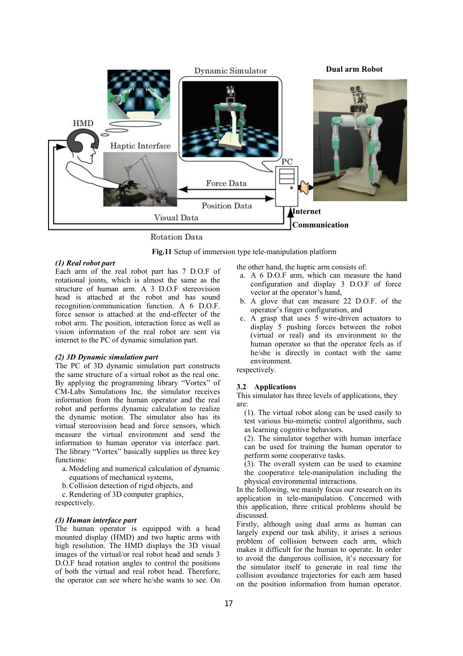

**Rotation Data** 

**Fig.11** Setup of immersion type tele-manipulation platform

#### *(1) Real robot part*

Each arm of the real robot part has 7 D.O.F of rotational joints, which is almost the same as the structure of human arm. A 3 D.O.F stereovision head is attached at the robot and has sound recognition/communication function. A 6 D.O.F. force sensor is attached at the end-effecter of the robot arm. The position, interaction force as well as vision information of the real robot are sent via internet to the PC of dynamic simulation part.

## *(2) 3D Dynamic simulation part*

The PC of 3D dynamic simulation part constructs the same structure of a virtual robot as the real one. By applying the programming library "Vortex" of CM-Labs Simulations Inc, the simulator receives information from the human operator and the real robot and performs dynamic calculation to realize the dynamic motion. The simulator also has its virtual stereovision head and force sensors, which measure the virtual environment and send the information to human operator via interface part. The library "Vortex" basically supplies us three key functions:

- a. Modeling and numerical calculation of dynamic equations of mechanical systems,
- b. Collision detection of rigid objects, and
- c. Rendering of 3D computer graphics, respectively.

#### *(3) Human interface part*

The human operator is equipped with a head mounted display (HMD) and two haptic arms with high resolution. The HMD displays the 3D visual images of the virtual/or real robot head and sends 3 D.O.F head rotation angles to control the positions of both the virtual and real robot head. Therefore, the operator can see where he/she wants to see. On the other hand, the haptic arm consists of:

- a. A 6 D.O.F arm, which can measure the hand configuration and display 3 D.O.F of force vector at the operator's hand,
- b. A glove that can measure 22 D.O.F. of the operator's finger configuration, and
- c. A grasp that uses 5 wire-driven actuators to display 5 pushing forces between the robot (virtual or real) and its environment to the human operator so that the operator feels as if he/she is directly in contact with the same environment.

respectively.

## **3.2 Applications**

This simulator has three levels of applications, they are:

(1). The virtual robot along can be used easily to test various bio-mimetic control algorithms, such as learning cognitive behaviors.

(2). The simulator together with human interface can be used for training the human operator to perform some cooperative tasks.

(3). The overall system can be used to examine the cooperative tele-manipulation including the physical environmental interactions.

In the following, we mainly focus our research on its application in tele-manipulation. Concerned with this application, three critical problems should be discussed.

Firstly, although using dual arms as human can largely expend our task ability, it arises a serious problem of collision between each arm, which makes it difficult for the human to operate. In order to avoid the dangerous collision, it's necessary for the simulator itself to generate in real time the collision avoidance trajectories for each arm based on the position information from human operator.